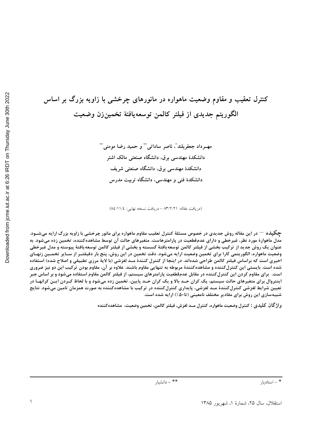کنترل تعقیب و مقاوم وضعیت ماهواره در مانورهای چرخشی با زاویه بزرگ بر اساس الگوريتم جديدى از فيلتر كالمن توسعهيافتهٔ تخمينزن وضعيت

> مهــرداد جعفربلند ٌ، ناصر ساداتي ٌ ٌ و حميد رضا مومني ٌ ٌ دانشکدهٔ مهندسی برق، دانشگاه صنعتی مالک اشتر دانشکدهٔ مهندسی برق، دانشگاه صنعتی شریف دانشکدهٔ فنی و مهندسی، دانشگاه تربیت مدرس

(دريافت مقاله: ٨٣/٢/٢١ - دريافت نسخه نهايي: ٨٤/١١/٤)

چگیده <sup>—</sup> در این مقاله روش جدیدی در خصوص مسئلهٔ کنترل تعقیب مقاوم ماهواره برای مانور چرخشی با زاویه بزرگ ارایه میشـود. مدل ماهوارهٔ مورد نظر، غیرخطی و دارای عدمقطعیت در پارامترهاست. متغیرهای حالت آن توسط مشاهدهکننده، تخمین زده میشود. به عنوان یک روش جدید از ترکیب بخشی از فیلتر کالمن توسعه یافتهٔ گسسته و بخشی از فیلتر کالمن توسعه یافتهٔ پیوسته و مدل غیرخطی وضعیت ماهواره، الگوریتمی کارا برای تخمین وضعیت ارایه میشود. دقت تخمین در این روش، پنج بار دقیقتــر از ســایر تخمــین زنهــای اخیری است که براساس فیلتر کالمن طراحی شدهاند. در اینجا از کنترل کنندهٔ مــد لغزشی (با لایهٔ مرزی تطبیقی و اصلاح شده) استفاده شده است. بایستی این کنترل کننده و مشاهده کنندهٔ مربوطه به تنهایی مقاوم باشند. علاوه بر آن، مقاوم بودن ترکیب این دو نیز ضروری است. برای مقاوم کردن این کنترل کننده در مقابل عدمقطعیت پارامترهای سیستم، از فیلتر کالمن مقاوم استفاده میشود و بر اساس جبرِ اینتروال برای متغیرهای حالت سیستم، یک کران حــد بالا و یک کران حــد پایین، تخمین زده میشود و با لحاظ کــردن ایــن کرانهــا در تعیین شرایط لغزشی کنترل کنندهٔ مــد لغزشی، پایداری کنترل کننده در ترکیب با مشاهدهکننده به صورت همزمان تامین میشود. نتایج شبیهسازی این روش برای مقادیر مختلف نامعینی (تا۵۰٪) ارایه شده است.

واژ گان كليدي : كنترل وضعيت ماهواره، كنترل مــد لغزش، فيلتر كالمن، تخمين وضعيت، مشاهدهكننده

<sup>\* -</sup> استاديار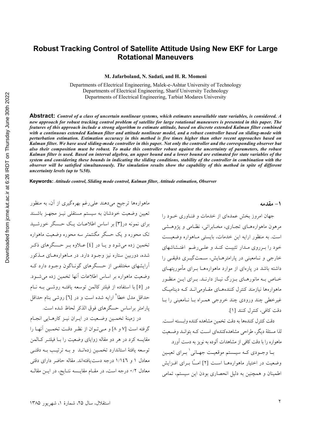### **Robust Tracking Control of Satellite Attitude Using New EKF for Large Rotational Maneuvers**

**M. Jafarboland, N. Sadati, and H. R. Momeni** 

Departments of Electrical Engineering, Malek-e-Ashtar University of Technology Departments of Electrical Engineering, Sharif University Technology Departments of Electrical Engineering, Tarbiat Modares University

**Abstract:** *Control of a class of uncertain nonlinear systems, which estimates unavailable state variables, is considered. A new approach for robust tracking control problem of satellite for large rotational maneuvers is presented in this paper. The features of this approach include a strong algorithm to estimate attitude, based on discrete extended Kalman filter combined with a continuous extended Kalman filter and attitude nonlinear model, and a robust controller based on sliding-mode with perturbation estimation. Estimation accuracy in this method is five times higher than other recent approaches based on Kalman filter. We have used sliding-mode controller in this paper. Not only the controller and the corresponding observer but also their composition must be robust. To make this controller robust against the uncertainty of parameters, the robust Kalman filter is used. Based on interval algebra, an upper bound and a lower bound are estimated for state variables of the system and considering these bounds in indicating the sliding conditions, stability of the controller in combination with the observer will be satisfied simultaneously. The simulation results show the capability of this method in spite of different uncertainty levels (up to %50).* 

**Keywords:** *Attitude control, Sliding mode control, Kalman filter, Attitude estimation, Observer*

ماهوارهها ترجیح میدهند علیرغم بهرهگیری از آن، به منظور تعیین وضعیت خودشان به سیستم مستقلبی نیــز مجهــز باشــند برای نمونه در[۳] بر اساس اطلاعیات یک حسگر خورشید تک محوره و یک حسگر مگنتمتر سه محوره وضعیت ماهواره تخمین زده می شود و یــا در [٤] عــلاوه بــر حــسگرهای ذکــر شده، دوربین ستاره نیز وجود دارد. در مـاهوارههـای مـذکور آرایشهای مختلفی از حسگرهای گونـاگون وجـود دارد کـه وضعیت ماهواره بر اساس اطلاعات آنها تخمین زده می شـود. در [0] با استفاده از فیلتر کالمن توسعه یافتـه روشــی بــه نــام حداقل مدل خطا<sup>۲</sup> ارایه شده است و در [٦] روشی بنام حداقل يارامتر براساس حسگرهاي فوق الذكر لحاظ شده است.

در زمينهٔ تخمـين وضـعيت در ايـران نيـز كارهـايي انجـام گرفته است [۷ و ۸] و مـى تـوان از نظـر دقـت تخمـين آنهـا را مقایسه کرد در هر دو مقاله زوایای وضعیت را بـا فیلتـر کـالمن توسعه يافتهٔ استاندارد تخمـين زدهانــد و بــه ترتيــب بــه دقتــي معادل ۱ و ۱/۱٤٦ درجه دست یافتهاند. مقاله حاضر دارای دقتی معادل ۰/۲ درجه است، در مقــام مقایــسه نتــایج، در ایــن مقالــه

ل، سال ۲۵، شمارهٔ ۱، شهریور ۱۳۸۵ استقلال استقلال استقلال استقلال استقلال استقلال استقلال استقلال استقلال استقلال استقلال استقلال استقلال استقلال

.<br>1 *–* مقدمه

جهان امروز بخش عمدهای از خدمات و فنـاوری خـود را مرهون ماهوارههـاي تجـاري، مخـابراتي، نظـامي و يژوهــشي است. به منظور ارايه اين خدمات، بايستى مـاهواره وضعيــت خود را بـرروي مـدار تثبيـت كنـد و علـى رغـم اغتـشاشهاي خارجي و نـامعيني در پارامترهـايش، سـمتگيــري دقيقــي را داشته باشد در یارهای از موارد ماهوارههـا بـرای مأموریتهـای خــاص بــه مانورهــاي بــزرگ نيــاز دارنــد. بــراي ايــن منظــور ماهوارهها نیازمند کنترل کنندههـای مقــاومی|نــد کــه دینامیــک غیر خطی چند ورودی چند خروجی همـراه بـا نــامعینی را بــا دقت كافي، كنترل كنند [۱].

دقت كنترل كنندهها به دقت تخمين مشاهده كننده وابــسته اســت. لذا مسئلهٔ دیگر، طراحی مشاهدهکنندهای است کـه بتوانــد وضــعیت ماهواره را با دقت كافي از مشاهدات آلوده به نويز به دست آورد.

بيا وجبودي كيه سيستم موقعيت جهياني لسراي تعيين وضعیت در اختیار ماهوارههـا اسـت [۲] امــًا بــرای افــزایش اطمینان و همچنین به دلیل انحصاری بودن این سیستم، تمامی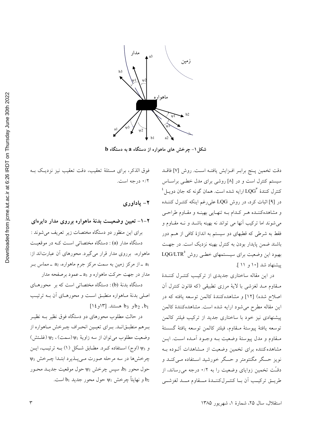

 $\mathbf b$  شکل ۱– چرخش های ماهواره از دستگاه  $\mathbf a$  به دستگاه

دقت تخمین پـنج برابـر افـزایش یافتـه اسـت. روش [۷] فاقــد سیستم کنترل است و در [۸] روشی برای مدل خطـی براسـاس  $^{\mathfrak{t}}$ کنترل کنندهٔ  ${\rm LQG}^{\mathfrak{r}}$  ارایه شده است. همان گونه که جان دویــل در [۹] اثبات کرد، در روش LQG علىرغم اينکه کنتـرل کننـده و مشاهدهکننـده هـر کـدام بـه تنهـايي بهينـه و مقـاوم طراحـي می شوند اما ترکیب آنها می تواند نه بهینه باشـد و نــه مقــاوم و .<br>فقط به شرطی که قطبهای دو سیستم به اندازهٔ کافی از هــم دور باشند ضمن پایدار بودن به کنترل بهینه نزدیک است. در جهت بهبود این وضعیت برای سیـستمهای خطـی روش LQG/LTR° ييشنهاد شد [١٠ و ١١ ].

در این مقاله ساختاری جدیدی از ترکیب کنترل کنندهٔ مـقاوم مــد لغزشـي با لايهٔ مرزی تطبیقی (که قانون کنترل آن اصلاح شده) [۱۲] و مشاهدهکنندهٔ کالمن توسعه یافته که در این مقاله مطرح میشود ارایه شده است. مشاهدهکنندهٔ کالمن پیشنهادی نیز خود با ساختاری جدید از ترکیب فیلتر کالمن توسعه يافتة پيوستة مـقاوم، فيلتر كالمن توسعه يافتة گسستة مـقاوم و مدل پيوستهٔ وضعيت بـه وجـود آمـده اسـت. ايـن مشاهده کننده برای تخمین وضعیت از مشاهدات آلـوده بـه نویز حسگر مگنتومتر و حسگر خورشید اسـتفاده مـیکنــد و دقـّت تخمین زوایای وضعیت را به ۰/۲ درجه میرساند، از طريــق تركيـب أن بــا كنتــرلكننــدة مـــقاوم مـــد لغزشــي

فوق الذكر، براي مسئلة تعقيب، دقت تعقيب نيز نزديك بـه ۰/۲ درجه است.

#### ٢- ياداوري

# ۲–۱– تعیین وضعیــت بدنهٔ ماهواره برروی مدار دایرهای برای این منظور دو دستگاه مختصات زیر تعریف می شوند : دستگاه مدار (a) : دستگاه مختصاتی اسـت کـه در موقعیـت ماهواره، برروی مدار قرار میگیرد. محورهای آن عبارتاند از: a<sub>1</sub> ـ از مرکز زمین به سمت مرکز جرم ماهواره، a<sub>2</sub> ـ مماس بـر مدار در جهت حرکت ماهواره و a<sub>3 –</sub> عمود برصفحه مدار

دستگاه بدنهٔ (b): دستگاه مختصاتی است که بر محورهـای اصلي بدنهٔ مـاهواره منطبـق اسـت و محورهـاي أن بـه ترتيـب  $[1\ell_2 \setminus \mathbb{M}]$  او b<sub>2</sub> ,b<sub>1</sub>

در حالت مطلوب محورهای دو دستگاه فوق نظیر بـه نظیـر برهم منطبـقانـد. بـراي تعيـين انحـراف چـرخش مـاهواره از وضعیت مطلوب می توان از سه زاویهٔ ψ1 (سمت)،  $\psi_2$  (غلـتش) و 43 (اوج) استفاده كرد. مطابق شكل (١) بـه ترتيـب، ايـن چرخشها در سه مرحله صورت مى پـذيرد ابتـدا چـرخش «V  $\psi_2$  حول محور  $b_3$ ، سپس چرخش  $\psi_2$  حول موقعیت جدیـد محـور و نهايتاً چرخش  $\psi_1$  حول محور جديد  $b_1$  است.  $b_2$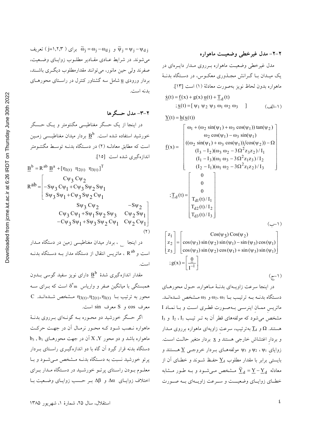$\widetilde{\omega}_i = 0$ و  $\widetilde{\omega}_i = \omega_i - \omega_d$  برای (  $\widetilde{\nu}_i = \nu_i - \nu_d$ ) تعریف می شوند. در شرایط عـادی مقـادیر مطلـوب زوایـای وضـعیت، صفرند ولي حين مانور، مي توانند مقدارمطلوب ديگري باشـند، بردار ورودی <u>u</u> شامل سه گشتاور کنترل در راسـتای محورهـای بدنه است.

۲-۳- مدل حسگر ها در اینجا از یک حسگر مغناطیسی مگنتومتر و یـک حـسگر خورشید استفاده شده است.  $\underline{\mathrm{B}}^{\mathrm{b}}$  بردار میدان مغناطیسمی زمـین است که مطابق معادلـه (۲) در دسـتگاه بدنــه توسـط مگنتــومتر اندازهگیری شده است [۱۵].

$$
\underline{B}^{b} = R^{ab} \underline{B}^{a} + [\eta_{1(t)} \eta_{2(t)} \eta_{3(t)}]^{T}
$$
  
\n
$$
R^{ab} = \begin{bmatrix} C\psi_{3} C\psi_{2} \\ -S\psi_{3} C\psi_{1} + C\psi_{3} S\psi_{2} S\psi_{1} \\ S\psi_{3} S\psi_{1} + C\psi_{3} S\psi_{2} C\psi_{1} \\ S\psi_{3} C\psi_{2} & -S\psi_{2} \\ C\psi_{3} C\psi_{1} + S\psi_{1} S\psi_{2} S\psi_{3} & C\psi_{2} S\psi_{1} \\ -C\psi_{3} S\psi_{1} + S\psi_{3} S\psi_{2} C\psi_{1} & C\psi_{2} C\psi_{1} \end{bmatrix}
$$
  
\n(7)

در اینجا میدار میدان مغناطیسی زمین در دستگاه مـدار است و R<sup>ab</sup> ، ماتریس انتقال از دستگاه مدار بــه دســتگاه بدنــه است.

مقدار اندازهگیری شدهٔ  $\underline{\mathrm{B}}^{\mathrm{b}}$  دارای نویز سفید گوسی بــدون همبستگی با میانگین صفر و واریاس  $\delta^{\intercal}$  است که بــرای ســه C مشخص شدهانـد. n3(t), n2(t), n1(t) می استخص معرف cos و S معرف sin است.

اگر حسگر خورشید دو محـوره بـه گونـهای بـرروی بدنـهٔ ماهواره نـصب شـود کـه محـور نرمـال آن در جهـت حرکـت  $\rm b_{3}$  ,  $\rm b_{1}$  ماهواره باشد و دو محور  $\rm X$  ,  $\rm Y$  آن در جهت محورهـای دستگاه بدنه قرار گیرد آن گاه با دو اندازهگیـری راسـتای بــردار پرتو خورشید نسبت به دستگاه بدنــه مــشخص مــیشــود و بــا معلـوم بـودن راسـتاي پرتـو خورشـيد در دسـتگاه مـدار بـراي اختلاف زوایای Δα و Δβ بـر حـسب زوایـای وضـعیت بـا

$$
\underline{Y}(t) = \underline{h}(\underline{x}(t))
$$
\n
$$
\underline{f}(x) = \begin{bmatrix}\n\omega_1 + (\omega_2 \sin(\psi_1) + \omega_3 \cos(\psi_1)) \tan(\psi_2) \\
\omega_2 \cos(\psi_1) - \omega_3 \sin(\psi_1) \\
((\omega_2 \sin(\psi_1) + \omega_3 \cos(\psi_1))/\cos(\psi_2)) - \Omega \\
(I_3 - I_2)(\omega_3 \omega_2 - 3\Omega^2 z_3 z_2)/I_1 \\
(I_1 - I_3)(\omega_1 \omega_3 - 3\Omega^2 z_1 z_3)/I_2 \\
(I_2 - I_1)(\omega_1 \omega_2 - 3\Omega^2 z_1 z_2)/I_3\n\end{bmatrix}
$$
\n
$$
\cdot \underline{T}_d(t) = \begin{bmatrix}\n0 \\
0 \\
\omega \\
T_{d1}(t)/I_1 \\
T_{d2}(t)/I_2 \\
T_{d3}(t)/I_3\n\end{bmatrix}
$$
\n
$$
(y - 1)
$$

$$
\begin{bmatrix} z_1 \ z_2 \ z_3 \end{bmatrix} = \begin{bmatrix} \cos(\psi_3) \cos(\psi_2) \\ \cos(\psi_3) \sin(\psi_2) \sin(\psi_1) - \sin(\psi_3) \cos(\psi_1) \\ \cos(\psi_3) \sin(\psi_2) \cos(\psi_1) + \sin(\psi_3) \sin(\psi_1) \end{bmatrix}
$$
  

$$
; g(x) = \begin{bmatrix} \frac{0}{1} \\ \frac{1}{1} \end{bmatrix}
$$
 (7-1)

در اینجا سرعت زاویـهای بدنـهٔ مـاهواره، حـول محورهـای دستگاه بدنــه بــه ترتيــب بــا  $\omega_2$ ،  $\omega_1$  و  $\omega_2$  مــشخص شــدهانــد. ماتریس ممان اینرسبی بهصورت قطری است و با نماد I  $I_3$  مشخص میشود که مولفههای قطر آن به تـر تیـب  $I_1$ ،  $I_2$  و هستند.  $\Omega$  و  $\underline{T}_d$  بهترتیب، سرعت زاویهای ماهواره برروی مــدار و بردار اغتشاش خارجی هستند و x بردار متغیر حالـت اسـت. زوایای ۷۱<sub>۱</sub> ، ۷<sub>۷</sub> و ۷<sub>۶</sub> مولفههای بردار خروجی <u>Y</u> هستند و بایستی برابر با مقدار مطلوب  $\underline{Y}_d$  حفـظ شــوند و خطـای آن از معادله  $\widetilde{\underline{Y}}_d = \underline{Y} - \underline{Y}_d$  مــــثــخص مـــی شـــود و بــه طــور مـــثـابه خطـاي زوايــاي وضعيـــت و ســرعت زاويــهاي بــه صــورت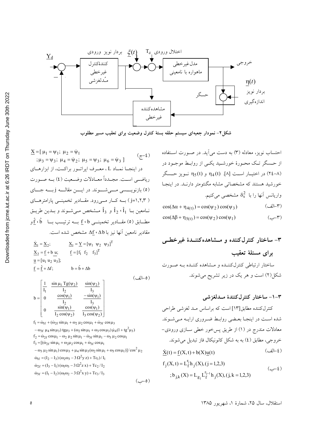

شکل۲-نمودار جعبهای سیستم حلقه بستهٔ کنترل وضعیت برای تعقیب مسیر مطلوب

$$
\underline{X} = [\mu_1 = \psi_1; \ \mu_2 = \dot{\psi}_1
$$
\n
$$
\vdots \ \mu_3 = \psi_3; \ \mu_4 = \dot{\psi}_2; \ \mu_5 = \psi_3; \ \mu_6 = \dot{\psi}_3 ]
$$
\n
$$
\therefore \ \mu_3 = \psi_3; \ \mu_1 = \dot{\psi}_2; \ \mu_5 = \psi_3; \ \mu_6 = \dot{\psi}_3 ]
$$
\n
$$
\therefore \ \mathbf{L} \ \mathbf{L} \ \mathbf{L} \ \mathbf{L} \ \mathbf{L} \ \mathbf{L} \ \mathbf{L} \ \mathbf{L} \ \mathbf{L} \ \mathbf{L} \ \mathbf{L} \ \mathbf{L} \ \mathbf{L} \ \mathbf{L} \ \mathbf{L} \ \mathbf{L} \ \mathbf{L} \ \mathbf{L} \ \mathbf{L} \ \mathbf{L} \ \mathbf{L} \ \mathbf{L} \ \mathbf{L} \ \mathbf{L} \ \mathbf{L} \ \mathbf{L} \ \mathbf{L} \ \mathbf{L} \ \mathbf{L} \ \mathbf{L} \ \mathbf{L} \ \mathbf{L} \ \mathbf{L} \ \mathbf{L} \ \mathbf{L} \ \mathbf{L} \ \mathbf{L} \ \mathbf{L} \ \mathbf{L} \ \mathbf{L} \ \mathbf{L} \ \mathbf{L} \ \mathbf{L} \ \mathbf{L} \ \mathbf{L} \ \mathbf{L} \ \mathbf{L} \ \mathbf{L} \ \mathbf{L} \ \mathbf{L} \ \mathbf{L} \ \mathbf{L} \ \mathbf{L} \ \mathbf{L} \ \mathbf{L} \ \mathbf{L} \ \mathbf{L} \ \mathbf{L} \ \mathbf{L} \ \mathbf{L} \ \mathbf{L} \ \mathbf{L} \ \mathbf{L} \ \mathbf{L} \ \mathbf{L} \ \mathbf{L} \ \mathbf{L} \ \mathbf{L} \ \mathbf{L} \ \mathbf{L} \ \mathbf{L} \ \mathbf{L} \ \mathbf{L} \ \mathbf{L} \ \mathbf{L} \ \mathbf{L} \ \mathbf{L} \ \mathbf{L} \ \mathbf{L} \ \mathbf{L} \ \mathbf{L} \ \mathbf{L} \ \mathbf{L} \ \mathbf{L} \ \mathbf{L} \ \mathbf{
$$

$$
\begin{aligned}\n\dot{\underline{X}}_1 &= \underline{X}_2; & \underline{X}_1 &= \underline{Y} = [\psi_1 \ \ \psi_2 \ \ \psi_3]^T \\
\underline{X}_2 &= \underline{f} + \underline{b} \ \underline{u}; & \underline{f} = [\underline{f}_1 \ \ \underline{f}_2 \ \ \underline{f}_3]^T \\
\underline{u} &= [\underline{u}_1 \ \underline{u}_2 \ \underline{u}_3]; & \underline{b} = \hat{b} + \Delta \underline{b}\n\end{aligned}
$$

 $(0 - 16)$ 

$$
b = \begin{bmatrix} \frac{1}{I_1} & \frac{\sin \mu_1 Tg(\psi_2)}{I_2} & \frac{\sin(\psi_2)}{I_3} \\ 0 & \frac{\cos(\psi_1)}{I_2} & \frac{-\sin(\psi_1)}{I_3} \\ 0 & \frac{\sin(\psi_1)}{I_2 \cos(\psi_2)} & \frac{\cos(\psi_1)}{I_3 \cos(\psi_2)} \end{bmatrix}
$$

 $f_1 = \dot{\omega}_{1f} + (\dot{\omega}_{2f} \sin \mu_1 + \omega_2 \mu_2 \cos \mu_1 + \dot{\omega}_{3f} \cos \mu_3$  $-\omega_{3f}$   $\mu_4 \sin \mu_3$ ) tg $\mu_3 + (\omega_2 \sin \mu_1 + \omega_3 \cos \mu_3) \mu_4 (1 + \text{tg}^2 \mu_3)$  $f_2 = \dot{\omega}_{2f} \cos \mu_1 - \omega_2 \mu_2 \sin \mu_1 - \dot{\omega}_{3f} \sin \mu_1 - \omega_3 \mu_2 \cos \mu_1$  $f_3 = [(\dot{\omega}_{2f} \sin \mu_1 + \omega_2 \mu_2 \cos \mu_1 + \dot{\omega}_{3f} \cos \mu_1$  $-\omega_3 \mu_2 \sin \mu_1 \cos \mu_3 + \mu_4 \sin \mu_3 (\omega_2 \sin \mu_1 + \omega_3 \cos \mu_1)/\cos^2 \mu_2$  $\dot{\omega}_{1f} = (I_2 - I_3) (\omega_2 \omega_3 - 3 \Omega^2 y z) + Tc_1 / I_1$  $\dot{\omega}_{2f} = (I_3 - I_1) (\omega_1 \omega_3 - 3 \Omega^2 z x) + Tc_2/I_2$  $\dot{\omega}_{3f} = (I_1 - I_2) (\omega_1 \omega_2 - 3 \Omega^2 x y) + Tc_3/I_3$  $(\cup - \circ)$  احتساب نویز، معادله (۳) به دست می آید. در صورت استفاده از حسگر تـک محـورهٔ خورشـید یکـی از روابـط موجـود در در اختیار است [A]. n<sub>4</sub>(t) و n<sub>4</sub>(t) نویز حسگر (x٤-A خورشید هستند که مشخصاتی مشابه مگنتومتر دارنـد. در اینجـا واریانس اّنها را با  $\delta_{\rm s}^2$  مشخصی میکنیم.  $(T-|t$ لف)  $\cos(\Delta \alpha + \eta_{4(t)}) = \cos(\psi_2) \cos(\psi_3)$  $cos(\Delta\beta + \eta_{5(t)}) = cos(\psi_2) cos(\psi_1)$  $(-r)$ 

-1 – ساختار کنترل کنندهٔ مـدلغزشی  
\n-1 – ساختار کننده مطابق[17] است که براساس مـد لغزشی طراحی  
\nشده است در اینجا بعضی روابط ضروری ارایه مـیشـوند.  
\معادات مندرج در (1) از طریق پسخور خطی سازی ورودی–  
\خروجی، مطابق (2) به به شکل کانونیکال فاز تبدیل میشوند.  
\nX(t) = f (X, t) + b(X)u(t)  
\n  
\n
$$
f_j(X, t) = L_f^{\Gamma_j}h_j(X), (j = 1, 2, 3)
$$
  
\n  
\n; b<sub>j,k</sub>(X) = L<sub>g\_j</sub>L\_f^{\Gamma\_j-1}h\_j(X), (j, k = 1, 2, 3)

استقلال، سال ۲۵، شمارهٔ ۱، شهریور ۱۳۸۵

 $\lambda$   $\rightarrow$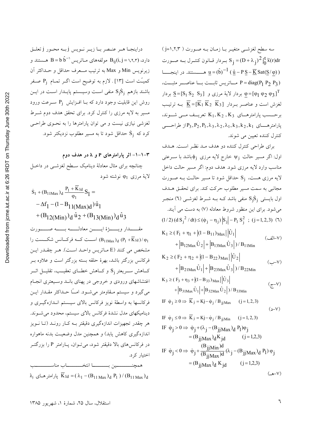سه سطح لغزشمي متغيـر بـا زمـان بــه صـورت ( y=١,٢,٣) بردار قــانون كنتــرل بــه صــورت S<sub>i</sub> = (D +  $\lambda$ <sub>i</sub>)<sup>2</sup>  $\int_0^t \widetilde{x}(r) dr$  $u = (\hat{b})^{-1}$  (  $\hat{u} - PS - \overline{K}$  Sat $(S/\varphi)$ ) P = diag(P<sub>1</sub> P<sub>2</sub> P<sub>3</sub>) مساتريس ثابت بسا عناصب مثبت، بردار  $\S = [S_1 \ S_2 \ S_3]$  بردار لايهٔ مرزي و  $S = [S_1 \ S_2 \ S_3]$  بردار  $\varphi = [\varphi_1 \ \varphi_2 \ \varphi_3]^T$ برحسب يارامترهــاي  $K_1, K_2, K_3$  تعريــف مــي شــوند، پارامترهـــــای  $P_3, P_2, P_1, \lambda_3, \lambda_2, \lambda_1, k_3, k_2, k_1$ از طراحــــــی كنترل كننده تعيين مي شوند.

برای طراحی کنترل کننده دو هدف مـد نظـر اسـت. هـدف اول: اگر مسیر حالت  $\Psi_1$  خارج لایه مرزی  $\phi_1$ باشد با سـرعتی مناسب وارد لایه مرزی شود. هدف دوم: اگر مسیر حالت داخل لایه مرزی هست،  $\mathrm{s_{i}}$  حداقل شود تا مسیر حالـت بـه صـورت مجانبي به سمت مسير مطلوب حركت كند. براي تحقـق هــدف اول بایستی  $\dot{\rm S}_\mathrm{i}\dot{\rm S}_\mathrm{j}$  منفی باشد ک $\dot{\rm S}_\mathrm{r}$  شد  $\dot{\rm S}_\mathrm{i}\dot{\rm S}_\mathrm{j}$  منجـر می شود. برای این منظور شروط معادله (۷) به دست می آیند.  $(1/2)$   $(dS_i^2/dt) \leq (\dot{\varphi}_i - \eta_i) |S_i| - P_1 S_i^2$ ;  $(j=1,2,3)$  (1)  $K_1 \ge (F_1 + \eta_1 + |(1 - B_{11})_{Max}| |\hat{U}_1|)$ 

$$
+ \left| B_{12Max} \hat{U}_2 \right| + \left| B_{13Max} \hat{U}_3 \right| / B_{11Min}
$$
\n
$$
(3) / B_{11Min}
$$

$$
K_2 \ge (F_2 + \eta_2 + |(1 - B_{22})_{Max}|) \hat{U}_2
$$
  
+  $|B_{21Max} \hat{U}_1| + |B_{23Max} \hat{U}_3| / B_{22Min}$  (–V)

$$
K_3 \ge (F_3 + \eta_3 + |(1 - B_{33})_{Max}| |\hat{U}_3|
$$
  
+  $|B_{31Max} \hat{U}_1| + |B_{32Max} \hat{U}_2| |B_{33Min}$  (z-V)

IF 
$$
\dot{\varphi}_j \ge 0 \Rightarrow \overline{K}_j = Kj - \dot{\varphi}_j / B_{jjMax}
$$
  $(j = 1, 2, 3)$  (3–V)

IF 
$$
\dot{\varphi}_j \le 0 \Rightarrow \overline{K}_j = Kj - \dot{\varphi}_j / B_{jjMin}
$$
 (j = 1, 2, 3)  
IF  $\dot{\varphi}_j > 0 \Rightarrow \dot{\varphi}_j + (\lambda_j - (B_{ijMax})_d P_l)\varphi_j$ 

$$
= (B_{jj}Max)^{d}K_{jd} \t(j=1,2,3)
$$
  
If  $\dot{\varphi}_j < 0 \Rightarrow \dot{\varphi}_j + \frac{(B_{jj}Min)^{d}}{(B_{jj}Max)^{d}} (\lambda_j - (B_{jj}Max)^{d}) \varphi_j$   

$$
= (B_{jj}Max)^{d}K_{jd} \t(j=1,2,3)
$$

$$
)\,\phi_{\,i}
$$

٦

دراينجـا هـر عنـصر بــا زيــر نــويس j بــه محــور j تعلــق وارد، B $\mathrm{B}=\mathrm{b}\ \hat{\mathrm{b}}^{-1}$  مولفههای مـاتریس `` B هـــــــتند و زيرنويس Min و Max به ترتيب مـــعرف حداقل و حــداكثر آن کمیـّت است [۱۳] . لازم به توضیح است اگــر تمــام Pi صـفر باشند بازهم  $\dot{\rm {s_j}}$  منفی است وسیـستم پایــدار اسـت در ایــن روش این قابلیت وجود دارد که بــا افــزایش P<sub>i</sub> ســرعت ورود مسیر به لایه مرزی را کنترل کرد. برای تحقق هدف دوم شـرط لغزشی نیازی نیست و می توان پارامترها را به نحـوی طراحـی کرد که  $\dot{\rm s}_i$  حداقل شود تا به مسیر مطلوب نزدیکتر شود.

۰-۱-۱- اثر پارامترهای P و a در هدف دوم چنانچه برای مثال معادلهٔ دینامیک سـطح لغزشــی در داخــل لايۀ مرزي φ1 نوشته شود

$$
\dot{S}_1 + (B_{11Max})_d \frac{P_1 + \overline{K}_{1d}}{\varphi_1} S_1 =
$$
  
- $\Delta f_1 - (1 - B_{11(Max)d}) \hat{u}_1$   
+ $(B_{12(Min)})_d \hat{u}_2 + (B_{13(Min)})_d \hat{u}_3$ 

مقـــدار ويـــــــرْهٔ ايــــــــن معادلــــــه بــــــه صــــــورت است کــه فرکــانس شکــست را  $(B_{11Max})_d (P_1 + \overline{K}_{1d})/\phi_1$ مشخص می کنند (E مـاتریس واحـد اسـت). هـر چقـدر ایـن فرکانس بزرگتر باشد، بهرهٔ حلقه بسته بزرگتر است و علاوه بـر كــاهش ســـريعتر S<sub>i</sub> وكــاهش خطــاي تعقيــب، تقليـــل اثـــر اغتشاشهای ورودی و خروجی در پهنای بانـد وسـيعتری انجـام می گیرد و سیستم مـقاومتر می شـود. امــّا حـداکثر مقـدار ایــن فركانسها به واسطهٔ نویز فركانس بالای سیستم انـدازهگیـری و دینامیکهای مدل نشدهٔ فرکانس بالای سیستم، محدود می شوند. هر چقدر تجهیزات اندازهگیری دقیقتر بـه کـار رونــد (تــا نــویز اندازهگیری کاهش یابد) و همچنین مدل وضعیت بدنه ماهواره در فرکانسهای بالا دقیقتر شود، میتوان، پـارامتر P را بزرگتـر اختیار کر د.

همچنـــــــــــــين بـــــــــــــا انتخــــــــــــاب مناســـــــــــب  $\lambda_i$  پارامتر های  $\overline{K}_{1d} = (\lambda_1 - (B_{11 \text{ Max}})_d P_1) / (B_{11 \text{ Max}})_d$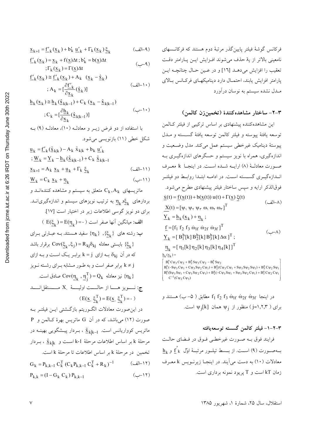$$
\underline{x}_{k+1} = \underline{f}'_k(\underline{x}_k) + b'_k \underline{u}'_k + \Gamma_k(\underline{x}_k) \underline{\xi}_k \tag{4-4}
$$

 $f'_{k}(x_{k}) = x_{k} + f(x)\Delta t$ ;  $b'_{k} = b(x)\Delta t$  $(-4)$  $\Gamma_k(\underline{x}_k) = \Gamma(\underline{x})\Delta t$ 

$$
\underline{f}'_{k}(\underline{x}_{k}) \cong \underline{f}'_{k}(\underline{x}_{k}) + A_{k} (\underline{x}_{k} - \hat{\underline{x}}_{k})
$$
\n
$$
; A_{k} = [\frac{\partial \underline{f}'_{k}}{\partial x_{k}}(\hat{\underline{x}}_{k})]
$$
\n(4)

$$
\underline{\mathbf{h}}_{k}(\underline{\mathbf{x}}_{k}) \cong \underline{\mathbf{h}}_{k}(\hat{\underline{\mathbf{x}}}_{k|k-1}) + \mathbf{C}_{k}(\underline{\mathbf{x}}_{k} - \hat{\underline{\mathbf{x}}}_{k|k-1})
$$
\n
$$
\vdots \mathbf{C}_{k} = [\frac{\partial \underline{\mathbf{h}}_{k}}{\partial \underline{\mathbf{x}}_{k}}(\hat{\underline{\mathbf{x}}}_{k|k-1})]
$$
\n
$$
\tag{--1}
$$

$$
\underline{u}_{k} = \underline{f}_{k}^{\prime}(\hat{\underline{x}}_{k|k}) - A_{k} \hat{x}_{k|k} + b_{k} \underline{u}_{k}^{\prime}
$$
\n
$$
\vdots \underline{W}_{k} = \underline{Y}_{k} - \underline{h}_{k}(\hat{\underline{x}}_{k|k-1}) + C_{k} \hat{\underline{x}}_{k|k-1}
$$
\n
$$
\underline{x}_{k+1} = A_{k} \underline{x}_{k} + \underline{u}_{k} + \Gamma_{k} \underline{\underline{\xi}}_{k}
$$
\n
$$
(\underline{-11})
$$
\n
$$
\underline{W}_{k} = C_{k} \underline{x}_{k} + \underline{\eta}_{k}
$$
\n
$$
(\underline{-11})
$$

فرکانس گوشهٔ فیلتر پایین گذر مرتبهٔ دوم هستند که فرکانـسهای نامعینی بالاتر از <sub>ن</sub>ا حذف می شوند افـزایش ایـن پـارامتر دقـت تعقيب را افزايش مي دهـد [١٦] و در عـين حـال چنانچـه ايـن يارامتر افزايش يابند، احتمـال دارد ديناميكهـاي فركـانس بـالاي مبدل نشده سیستم به نوسان درآورد

### ٣-٢- ساختار مشاهده كنندة (تخمينزن كالمن)

این مشاهدهکننده پیشنهادی بر اساس ترکیبی از فیلتر کـالمن توسعه يافتهٔ ييوسته و فيلتر كالمن توسعه يافتهٔ گســسته و مــدل پیوستهٔ دینامیک غیرخطی سیستم عمل میکند. مدل وضعیت و اندازهگیری، همراه با نویز سیستم و حسگرهای اندازهگیری بـه صورت معادلـهٔ (۸) ارایــه شــده اســت. در اینجــا k معــرف انــدازهگیــری گســـسته اســت. در ادامــه ابتــدا روابــط دو فیلتــر فوقالذکر ارایه و سپس ساختار فیلتر پیشنهادی مطرح میشود.  $\dot{x}(t) = f(x(t)) + b(x(t)) u(t) + \Gamma(x) \xi(t)$  $X(t) = [\psi, \psi, \psi, \omega, \omega, \omega]^{T}$  $\underline{Y}_k = \underline{h}_k(\underline{x}_k) + \eta_k$ ;  $f = [f_1 f_2 f_3 \dot{\omega}_{1f} \dot{\omega}_{2f} \dot{\omega}_{3f}]^T$  $(\neg\neg \wedge)$  $Y_k = [B_1^b[k]B_2^b[k]B_3^b[k]\Delta\alpha]^T;$  $\underline{\eta}_k = [\eta_1[k]\eta_2[k]\eta_3[k]\eta_4[k]]^T$  $\underline{h}_k(\underline{x}_k) =$  $B_1^a C \psi_3 C \psi_2 + B_2^a S \psi_3 C \psi_2 - B_1^a S \psi_2$  $B_1^a(-S\psi_3 C\psi_1 + C\psi_3 S\psi_2 C\psi_1) + B_2^a(C\psi_3 C\psi_1 + S\psi_3 S\psi_2 S\psi_1) + B_3^a C\psi_2 S\psi_1$  $B_1^a(S\psi_3 Sy_1 + C\psi_3 Sy_2 C\psi_1) + B_2^a(-C\psi_3 Sy_1 + S\psi_3 Sy_2 C\psi_1) + B_3^a C\psi_2 C\psi_1$  $C^{-1}(C_{\Psi}, C_{\Psi_3})$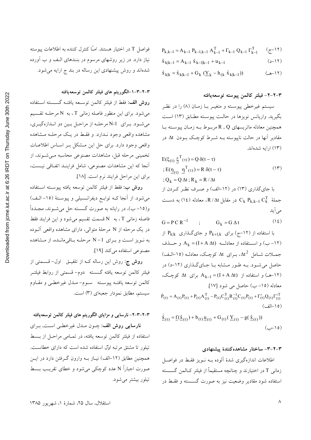# فواصل T در اختیار هستند. امـّا کنترل کننده به اطلاعات پیوسته نیاز دارد. در زیر روشهای مرسوم در بنــدهای الـف و ب آورده شدهاند و روش پیشنهادی این رساله در بند ج ارایه میشود.

٣-٢-٣-١-الگوريتم هاى فيلتر كالمن توسعهيافته

**روش الف:** فقط از فيلتر كالمن توســعه يافتــه گســسته اســتفاده می شود. برای این منظور فاصله زمانی T ، به N مرحلـه تقـسیم می شود. برای N-1 مرحله از مراحل بین دو اندازهگیری، مشاهده واقعی وجود نـدارد. و فقـط در یـک مرحلـه مـشاهده واقعی وجود دارد. برای حل این مشکل بـر اسـاس اطلاعـات تخمینی مرحله قبل، مشاهدات مصنوعی محاسبه مےشوند، از آنجا که این مشاهدات مصنوعی، شامل فراینـد اتفـاقی نیـست، براي اين مراحل فرايند نرم است. [١٨].

روش ب: فقط از فيلتر كالمن توسعه يافته پيوسـته اسـتفاده می شود. از آنجا کـه توابـع دیفرانـسیلی و پیوسـتهٔ (١٥- الـف) و(١٥–ب)، در رايانه به صورت گسسته حل مي شـوند، مجــدداً فاصله زمانی T، به N قسمت تقسیم میشود و این فرایند فقط در یک مرحله از N مرحلهٔ متوال<sub>ی</sub>، دارای مشاهده واقعی آلــوده به نویز است و برای N-1 مرحله باقی مانده، از مشاهده مصنوعی استفاده می کند [١٩].

**روش ج:** روش این رساله کـه از تلفیــق اول-قــسمتى از فيلتر كالمن توسعه يافته گسسته دوم- قسمتى از روابط فيلتـر كالمن توسعه يافتـه پيوسـته مسوم-ملدل غيرخطـي و مقـاوم سیستم، مطابق نمودار جعبهای (۳) است.

### ۳–۲–۳–۲–نارسایی و مزایای الگوریتم های فیلتر کالمن توسعهیافته

نارسایی روش الف: چـون مـدل غیرخطـی اسـت, بـرای استفاده از فیلتر کالمن توسعه یافته، در تمـامی مراحـل از بـسط تیلور تا مشتق مرتبه اوّل استفاده شده است که دارای خطاست. همچنین مطابق (۱۲–الف) نیـاز بــه وارون گــرفتن دارد در ایــن صورت اجباراً N عدد کوچکی می شود و خطای تقریب بــسط تیلور بیشتر می شود.

#### ٣-٢-٢- فيلتر كالمن پيوسته توسعهيافته

 $(7 - 17)$ 

 $(11 - c)$ 

 $(11 - 2)$ 

سيستم غيرخطي پيوسـته و متغيـر بــا زمــان (٨) را در نظـر بگیرید. واریانس نویزها در حالت پیوسته مطـابق (١٣) اسـت همچنین معادله ماتریسهای R , Q مربوط بـه زمـان پیوسـته بـا مقادیر آنها در حالت ناییوسته بـه شـرط کوچـک بـودن Δt در (١٣) ارايه شدهاند.

 $P_{k,k-1} = A_{k-1} P_{k-1,k-1} A_{k-1}^{T} + \Gamma_{k-1} Q_{k-1} \Gamma_{k-1}^{T}$ 

 $\hat{x}_{k|k} = \hat{x}_{k|k-1} + G_k (\underline{Y}_k - h_{(k} \hat{x}_{k|k-1}))$ 

 $\hat{\mathbf{x}}_{k|k-1} = \mathbf{A}_{k-1} ~ \hat{\mathbf{x}}_{k-1|k-1} + \mathbf{u}_{k-1}$ 

$$
E(\xi_{(t)} \underline{\xi}^{T}(\tau)) = Q \delta(t - \tau)
$$
  
\n
$$
E(\underline{\eta}_{(t)} \underline{\eta}^{T}(\tau)) = R \delta(t - \tau)
$$
  
\n
$$
Q_k = Q \Delta t; R_k = R / \Delta t
$$
 (17)

با جایگذاری (۱۳) در (۱۲-الف) و صرف نظر کردن از جملهٔ  $\,$   $\rm C_k$   $\rm P_{k,k-1}$  در مقابل  $\rm R/\Delta t$ ، معادله (١٤) به دسـت می آید

G = P C R<sup>-1</sup> ; G<sub>k</sub> = G 
$$
\Delta t
$$
 (12)  
\n $P_{k|k}$   $\int_{\Delta} P_{k+1,k}$   $\int_{\Delta} P_{k+1,k}$   $\int_{\Delta} P_{k-1,k}$   $\int_{\Delta} P_{k-1,k}$   $\int_{\Delta} P_{k-1,k}$   $\int_{\Delta} P_{k-1,k}$   $\int_{\Delta} P_{k-1,k}$   $\int_{\Delta} P_{k-1,k}$   $\int_{\Delta} P_{k-1,k}$   $\int_{\Delta} P_{k-1,k}$   $\int_{\Delta} P_{k-1,k}$   $\int_{\Delta} P_{k-1,k}$   $\int_{\Delta} P_{k-1,k}$   $\int_{\Delta} P_{k-1,k}$   $\int_{\Delta} P_{k-1,k}$   $\int_{\Delta} P_{k-1,k}$   $\int_{\Delta} P_{k-1,k}$   $\int_{\Delta} P_{k-1,k}$   $\int_{\Delta} P_{k-1,k}$   $\int_{\Delta} P_{k-1,k}$   $\int_{\Delta} P_{k-1,k}$   $\int_{\Delta} P_{k-1,k}$   $\int_{\Delta} P_{k-1,k}$   $\int_{\Delta} P_{k-1,k}$   $\int_{\Delta} P_{k-1,k}$   $\int_{\Delta} P_{k-1,k}$   $\int_{\Delta} P_{k-1,k}$   $\int_{\Delta} P_{k-1,k}$   $\int_{\Delta} P_{k-1,k}$   $\int_{\Delta} P_{k-1,k}$   $\int_{\Delta} P_{k-1,k}$   $\int_{\Delta} P_{k-1,k}$   $\int_{\Delta} P_{k-1,k}$   $\int_{\Delta} P_{k-1,k}$   $\int_{\Delta} P_{k-1,k}$   $\int_{\Delta} P_{k-1,k}$   $\int_{\Delta} P_{k-1,k}$   $\int_{\Delta} P_{k-1,k}$   $\int_{\Delta} P_{k-1,k}$   $\int_{\Delta} P_{k-1,k}$   $\int_{\Delta} P_{k-1,k}$   $\int_{\Delta} P_{k-1,k}$   $\int$ 

$$
\underline{\hat{\mathbf{x}}}_{(t)} = \underline{\mathbf{f}}(\underline{\hat{\mathbf{x}}}_{(t)}) + \mathbf{b}_{(t)} \underline{\mathbf{u}}_{(t)} + \mathbf{G}_{(t)} (\underline{\mathbf{Y}}_{(t)} - \mathbf{g}(\underline{\hat{\mathbf{x}}}_{(t)}))
$$
\n
$$
(\underline{\mathbf{y}} - \mathbf{b})
$$

#### ۳-۲-۳- ساختار مشاهده کنندهٔ پیشنهادی

اطلاعات اندازهگیری شدهٔ آلوده بـه نـویز فقـط در فواصـل زمانی T در اختیارند و چنانچه مستقیماً از فیلتر کــالمن گســسته استفاده شود مقادیر وضعیت نیز به صورت گسـسته و فقـط در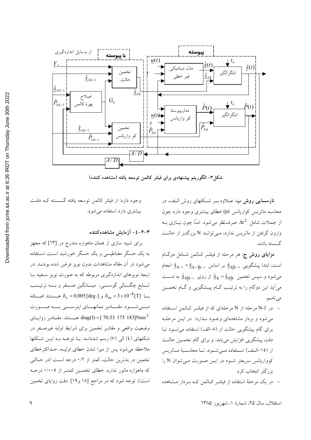

شکل۳– الگوریتم پیشنهادی برای فیلتر کالمین توسعه یافته (مشاهده کننده)

**نارســایی روش ب**: عــلاوه بــر شــکلهای روش الــف، در محاسبه ماتریس کواریانس (p) خطای بیشتری وجود دارد چون از جملات شامل  $\Delta t^2$  صرفنظر می شود. امـّا چون نیــازی بــه وارون گرفتن از ماتریس ندارد، مـیتوانــد N بزرگتــر از حالــت گسسته باشد.

م**زایای روش ج**: هر مرحله از فیلتـر کـالمن شـامل دوگـام است، ابتدا پیشگویی  $\hat{\underline{x}}_{k|k-\gamma} = \hat{\underline{x}}_{k-\gamma|k-\gamma}$  بر اساس  $\hat{\underline{x}}_{k|k-\gamma}$  انجام میشود و سپس تخمین  $\hat{\underline{x}}_k = \frac{\hat{x}}{k}$  از روی  $\hat{\underline{x}}_k = \frac{\hat{x}}{k}$  به دست می آید این دوگام را به ترتیب گـام پیــشگویی و گـام تخمـین مي ناميم.

- در N-1 مرحله از N مرحلهای که از فیلتـر کـالمن اسـتفاده می شود و بردار مشاهدهای وجود نـدارد: در ایـن مرحلـه برای گام پیشگویی حالت از (۸–الف) استفاده می شود تـا دقت پیشگویی افزایش می یابد. و برای گام تخمـین حالـت از (١٥-الف) استفاده مے شود، تـا محاسـبة مـاتريس کوواریانس سریعتر شود در ایـن صـورت مـیتوان N را بزرگتر انتخاب کرد.

– در یک مرحلهٔ استفاده از فیلتـر کـالمن کـه بـردار مـشاهده

وجود دارد: از فيلتر كالممن توسعه يافته گسسته كـه دقـت بیشتری دارد استفاده می شود.

### ٣-٢-٤- آزمايش مشاهده كننده

برای شبیه سازی از همان ماهواره مندرج در [۱۳] که مجهز به یک حسگر مغناطیسی و یک حسگر خورشید است استفاده می شود در آن مقاله مشاهدات بدون نویز فرض شده بودنــد. در اینجا نویزهای اندازهگیری مربوطه که به صورت نویز سـفید بـا تــابع چگــالى گوســـى، ميــانگين صـــفر و بـــه ترتيـــب بسا  $\delta_{\rm s}=0.005$  و  $\delta_{\rm m}=3\times 10^{-8}$  هــــــــــتند اضــــافه مسی شسود. مقسادیر ممانهسای اینرسسی بسه صسورت فــستند. مقــادير زوايــاى diag(I) = [  $70.53$  175 183]Nms<sup>2</sup> وضعیت واقعی و مقادیر تخمین برای شرایط اولیه غیرصفر در شکلهای (٤) الی (٧) رسم شدهانـد. بـا توجـه بـه ايـن شـكلها ملاحظه می شود پس از میرا شدن خطای اولیـه، حـداکثرخطای تخمین در بدترین حالت، کمتر از ۰/۲ درجه است (در حالتی که ماهواره مانور ندارد، خطای تخمین کمتر از ۰/۰۰۵ درجه است)، توجه شود که در مراجع [۱۸ و۱۹] دقت زوایای تخمین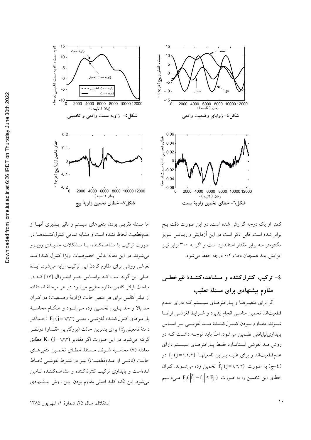

کمتر از یک درجه گزارش شده است. در این صورت دقت پنج برابر شده است. قابل ذکر است در این آزمایش واریــانس نــویز مگنتومتر سه برابر مقدار استاندارد است و اگر به ۳۰۰ برابر نیـز افزايش يابد همچنان دقت ٠/٢ درجه حفظ مي شود.

# ٤- تركيب كنترل كننده و مــشاهده كننــدة غيرخطــي مقاوم پیشنهادی برای مسئلهٔ تعقیب

اگر برای متغیـرهـا و پـارامترهـای سیـستم کـه دارای عـدم قطعیتاند تخمین مناسبی انجام پذیرد و شـرایط لغزشـی ارضـا شوند، مقاوم بودن كنتـرلكننـدة مــد لغزشــي بـر اسـاس پایداری[یاپانفی تضمین میشود. امّـا باید توجـه داشــت کـه در روش مـد لغزشی اسـتاندارد فقـط پــارامترهــای سیــستم دارای عدمقطعیتاند و برای غلبـه بــراین نامعینهــا f<sub>i</sub> (j = ۱٫۲٫۳) در به صورت  $\hat{f}_j$  (j=۱,۲,۳) تخمین زده میشوند. کـران  $\hat{f}_j$ خطای این تخمین را به صورت  $\left|\hat{\mathrm{f}}_{\mathrm{j}}-\mathrm{f}_{\mathrm{j}}\right|\leq\mathrm{F}_{\mathrm{j}}$  مـیدانـیم



اما مسئله تقریبی بودن متغیرهای سیستم و تاثیر پـذیری آنهـا از عدمقطعیت لحاظ نشده است و مشابه تمامی کنترلکننـدههـا در صورت ترکیب با مشاهدهکننده، بـا مـشکلات جدیــدی روبــرو مي شوند. در اين مقاله بدليل خصوصيات ويژهٔ كنترل كنندهٔ مـد لغزشی روشی برای مقاوم کردن این ترکیب ارایه میشود. ایــدهٔ اصلی این گونه است کـه براسـاس جبـر اینتـروال [١٧] کـه در مباحث فیلتر کالمن مقاوم مطرح میشود در هر مرحلهٔ اسـتفاده از فیلتر کالمن برای هر متغیر حالت (زاویهٔ وضعیت) دو کـران حد بالا و حد پـايين تخمـين زده مـيشـود و هنگـام محاسـبهٔ پارامترهای کنترلکننــده لغزشــی، یعنــی (F<sub>i</sub> (j = ۱٫۲٫۳ (حــداکثر دامنهٔ نامعینی fi) برای بدترین حالت (بزرگترین مقـدار) درنظـر گرفته می شود. در این صورت اگر مقادیر (۱٫۲٫۳ K<sub>i</sub> (j = ۱٫۲٫۳ مطابق معادله (۷) محاسـبه شـوند، مـسئلة خطـاي تخمـين متغيرهـاي حالـت (ناشـي از عـدمقطعيـت) نيـز در شـرط لغزشـي لحـاظ شدهاست و پایداری ترکیب کنترل کننده و مشاهدهکننده تامین می شود. این نکته کلید اصلی مقاوم بودن ایــن روش پیــشنهادی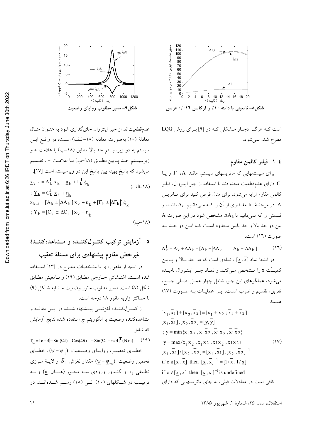

عدمقطعیتاند از جبر اینتروال جای گذاری شود به عنـوان مثـال معادلهٔ (۱۰) بهصورت معادله (۱۸–الـف) اسـت، در واقـع ايـن سیستم به دو زیرسیستم حد بالا مطابق (۱۸–ب) با علامت + و زیرسیستم حـد پـایین مطـابق (۱۸–ب) بـا علامـت – ، تقـسیم می شود که پاسخ بهینه بین پاسخ این دو زیرسیستم است [۱۷]  $\underline{x}_{k+1} = A_k^{\text{I}} \underline{x}_k + \underline{u}_k + \Gamma_k^{\text{I}} \xi_k$  $(\perp)$ انف)  $\sum_{k}$  = C<sub>k</sub>  $\underline{x}_{k}$  +  $\eta_{i}$  $\underline{x}_{k+1} = [A_k \pm |\Delta A_k|] \underline{x}_k + \underline{u}_k + [\Gamma_k \pm |\Delta \Gamma_k|] \xi_k$  $\sum_{k}$  =  $[C_k \pm \left| \Delta C_k \right|] \underline{x}_k + \underline{\eta}_k$ 

# ٥- آزمایش ترکیب کنتـرلکننــده و مــشاهدهکننــدهٔ غیرخطی مقاوم پیشنهادی برای مسئلهٔ تعقیب

در اینجا از ماهوارهای با مشخصات مندرج در [۱۳] استفاده شده است. اغتـشاش خــارجي مطــابق (١٩) و نــامعيني مطــابق شکل (۸) است. مسیر مطلوب مانور وضعیت مشابه شکل (۹) با حداکثر زاویه مانور ۱۸ درجه است.

از كنتــرلكننــده لغزشـــي پيـــشنهاد شـــده در ايـــن مقالـــه و مشاهدهکننده وضعیت با الگوریتم ج استفاده شده نتایج آزمایش كە شامل

 $T_d = 1e - 4[-\sin(\Omega t) \cos(\Omega t) - \sin(\Omega t + \pi/4)]^T$ (N.m)  $(19)$ خطای تعقیب زوایای وضعیت ( $(\psi - \psi_a)$ ، خطای تخمین وضعیت  $S_1$  (پ $\psi-\psi_{\rm m}$ ) مقدار لغزش  $S_1$  و لایــهٔ مــرزی تطبیقی  $\phi_1$  و گشتاور ورودی سـه محـور (همـان  $\underline{u}$ ) و بـه ترتیب در شــکلهای (۱۰) الــی (۱۸) رســم شــدهانــد. در



است کـه هرگـز دچـار مـشکلی کـه در [۹] بـرای روش LQG مطرح شد، نمي شود.

#### ٤–١– فيلتر كالمن مقاوم

برای سیستمهایی که ماتریسهای سیستم، مانند T ، A و یا C دارای عدمقطعیت محدودند با استفاده از جبر اینتروال، فیلتر کالمن مقاوم ارایه می شود. برای مثال فرض کنید برای مـاتریس در مرحلـهٔ k مقــداری از آن را کــه مــیدانــیم A، باشــد و A A قسمتی را که نمیدانیم با  $\Delta A_k$  مشخص شود در این صورت بين دو حد بالا و حد پايين محدود است كـه ايــن دو حــد بــه صورت (١٦) است.

$$
A_k^I = A_k + \Delta A_k = [A_k - |\Delta A_k| \quad , \quad A_k + |\Delta A_k|]
$$
 (11)

در اینجا نماد [x ,x] ، نمادی است که دو حد بـالا و پـایین كميت x را مـشخص مـىكنـد و نمـاد جبـر اينتـروال ناميـده می شود، عملگرهای این جبر، شامل چهار عمـل اصـلی جمـع، تفريق، تقسيم و ضرب است. اين عمليات به صورت (١٧) هستند.

$$
[\underline{x}_1, \overline{x}_1] \pm [\underline{x}_2, \overline{x}_2] = [\underline{x}_1 \pm x_2; \overline{x}_1 \pm \overline{x}_2]
$$
  
\n
$$
[\underline{x}_1, \overline{x}_1]. [\underline{x}_2, \overline{x}_2] = [\underline{y}, \overline{y}]
$$
  
\n
$$
\vdots \underline{y} = \min{\{\underline{x}_1 \underline{x}_2, \underline{x}_1 \overline{x}_2, \overline{x}_1 \underline{x}_2, \overline{x}_1 \overline{x}_2\}}
$$
  
\n
$$
\overline{y} = \max{\{\underline{x}_1 \underline{x}_2, \underline{x}_1 \overline{x}_2, \overline{x}_1 \underline{x}_2, \overline{x}_1 \overline{x}_2\}}
$$
  
\n
$$
[\underline{x}_1, \overline{x}_1]/[\underline{x}_2, \overline{x}_2] = [\underline{x}_1, \overline{x}_1]. [\underline{x}_2, \overline{x}_2]^{-1}
$$
  
\nif  $0 \notin [\underline{x}, \overline{x}]$  then  $[\underline{x}, \overline{x}]^{-1} = [1/\overline{x}, 1/\underline{x}]$   
\nif  $0 \notin [\underline{x}, \overline{x}]$  then  $[\underline{x}, \overline{x}]^{-1}$  is undefined  
\n
$$
\text{if } 0 \notin [\underline{x}, \overline{x}] \text{ then } [\underline{x}, \overline{x}]^{-1}
$$
 is undefined  
\n
$$
\text{if } 0 \notin [\underline{x}, \overline{x}] \text{ then } [\underline{x}, \overline{x}]^{-1}
$$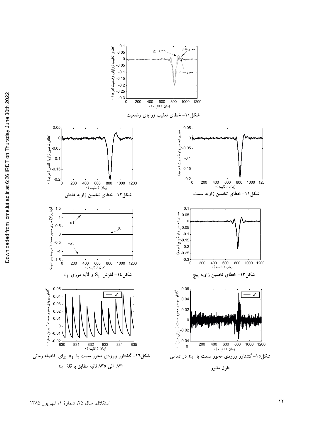

0.1

شکل۱٦– گشتاور ورودی محور سمت یا  $\textbf{u}_1$  برای فاصله زمانی **0)[ iG !Q `I\ ( `Ia** <sup>1</sup> u



محور سمت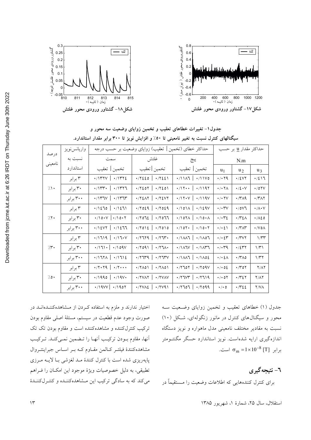

| جدول ۱– تغییرات خطاهای تعقیب و تخمین زوایای وضعیت سه محور و |                                                                                          |
|-------------------------------------------------------------|------------------------------------------------------------------------------------------|
|                                                             | سیگنالهای کنترل نسبت به تغییر نامعینی تا ٥٠٪ و افزایش نویز تا ٣٠٠ برابر مقدار استاندارد. |

| درصد              | واريانس نويز | حداکثر خطای (تخمین   تعقیب) زوایای وضعیت بر حسب درجه     |                                                                                         | حداکثر مقدار <u>u</u> بر حسب                                          |                                       |                                   |                             |
|-------------------|--------------|----------------------------------------------------------|-----------------------------------------------------------------------------------------|-----------------------------------------------------------------------|---------------------------------------|-----------------------------------|-----------------------------|
| نامعيني           | نسبت به      | سمت                                                      | غلتش                                                                                    | پيچ                                                                   | N.m                                   |                                   |                             |
|                   | استاندارد    | تخمين   تعقيب                                            | تخمين  تعقيب                                                                            | تخمين   تعقيب                                                         | $u_1$                                 | $u_2$                             | $u_3$                       |
| $/ \wedge$        | ۳ برابر      | $\cdot$ /1۳۲۷   $\cdot$ /1۳۲٤                            | $\cdot$ /7220   $\cdot$ /7221                                                           | $\cdot$ /1117   $\cdot$ /11V0                                         | $\cdot$ / $\cdot$ $\uparrow$ 9        | $\cdot$ /٤٧٢                      | $\cdot/2$ ) $\sqrt{ }$      |
|                   | ۳۰ برابر     | $\cdot$ /۱۳۳ $\cdot$   $\cdot$ /1۳۲٦                     | $\cdot$ /۲٤٥٢   $\cdot$ /۲٤٥١                                                           | $\cdot$ /17   $\cdot$ /1197                                           | $\cdot$ / $\cdot$ $\uparrow$ $\wedge$ | $\cdot/2 \cdot V$                 | $\cdot$ /07V                |
|                   | ۳۰۰ برابر    | $\cdot$ /۱۳٦۷   $\cdot$ /۱۳٦۳                            | $\cdot$ /٢٤ <i>Λ</i> ٢   $\cdot$ /٢٤٧٢                                                  | $\cdot$ /17 $\cdot$ v   $\cdot$ /119 $\vee$                           | $\cdot$ / $\cdot$ $\uparrow$ $\vee$   | $\cdot$ /۳۸۹                      | $\cdot$ /۳۸۲                |
| 7.7.              | ۳ برابر      | $.71270$ $.71271$                                        | $\cdot$ /7029   $\cdot$ /7029                                                           | $\cdot$ /1011 \\sqv                                                   | $\cdot/\cdot$ ۳ $V$                   | $\cdot$ /0 $V$ ٦                  | $\cdot/\wedge\cdot\vee$     |
|                   | ۳۰ برابر     | $\cdot$ /\o $\cdot$ $\vee$   $\cdot$ /\o $\cdot$ $\cdot$ | $\cdot$ /۲٥٦٤   $\cdot$ /۲٥٦٦                                                           | $\cdot$ /107 $\land$   $\cdot$ /10 $\cdot\land$                       | $\cdot/\cdot$ ۳٤                      | ۰/۳٤۸                             | $\cdot/\lambda\epsilon$ 0   |
|                   | ۳۰۰ برابر    | $\cdot$ /12VY   $\cdot$ /1277                            | $\cdot$ / $\cdot$ / $\in$ $\left  \cdot$ / $\cdot$ / $\circ$                            | $\cdot$ /107 $\cdot$   $\cdot$ /10 $\cdot$ $\cdot$                    | $\cdot/\cdot\,$ { $\setminus$         | $\cdot$ /۳ $\wedge$ ۳             | $\cdot$ / $\vee$ 0 $\wedge$ |
| $/\mathfrak{r}$ . | ۳ برابر      | $\cdot$ /1719   $\cdot$ /17 $\cdot$ V                    | $\cdot$ /7779   $\cdot$ /773.                                                           | $\cdot$ /1 $\wedge\wedge$   $\cdot$ /1 $\wedge\circ\wedge$            | $\cdot/\cdot$ {۳                      | $\cdot$ /۳۷۲                      | $1/\tau$                    |
|                   | ۳۰ بر ابر    | $\cdot$ /171 $\cdot$   $\cdot$ /109 $V$                  | $\cdot$ /۲٥٩١   $\cdot$ /۲٦٨٠                                                           | $\cdot$ /141 $\vee$   $\cdot$ /14 $\uparrow$                          | $\cdot$ / $\cdot$ $4$                 | ۰/٤٣٢                             | $1/\tau$                    |
|                   | ۳۰۰ برابر    | $\cdot$ /1711   $\cdot$ /1712                            | $\cdot$ /٢٦٣٩   $\cdot$ /٢٦٣٧                                                           | $\cdot$ / $\wedge\wedge\wedge\uparrow$   $\cdot$ / $\wedge\circ\circ$ | $\cdot/\cdot$ { $\wedge$              | $\cdot$ /۳۸٥                      | 1/T                         |
| 70.               | ۳ برابر      | $\cdot$ /۲۰۲۹   $\cdot$ /۲۰۰۰                            | $\cdot$ /۲۸٥۱   $\cdot$ /۲۸٥۱                                                           | $\cdot$ /۲٦٥٢   $\cdot$ /۲٥٩٧                                         | $\cdot$ / $\cdot$ 02                  | $\cdot$ / $\uparrow$ 0 $\uparrow$ | $Y/\Lambda Y$               |
|                   | ۳۰ برابر     | $\cdot$ /1990   $\cdot$ /19 $V$                          | $\cdot$ / YVAY   $\cdot$ / YVAV                                                         | $\cdot$ /۲٦٧٣   $\cdot$ /۲٦١٩                                         | $\cdot$ / $\cdot$ 0 $\Upsilon$        | ۰/۳٤۲                             | <b>Y/AY</b>                 |
|                   | ۳۰۰ برابر    | $\cdot$ /19VV   $\cdot$ /1907                            | $\cdot$ / $\cdot$ / $\cdot$ / $\cdot$ / $\cdot$ / $\cdot$ / $\cdot$ / $\cdot$ / $\cdot$ | $.7707$   $.7099$                                                     | $\cdot/\cdot$ 0                       | $\cdot$ / $\cdot$ / $\cdot$ /     | $Y/N\Lambda$                |

جدول (۱) خطاهای تعقیب و تخمین زوایای وضـعیت سـه محور و سیگنالهای کنترل در مانور زنگولهای، شکل (۱۰) نسبت به مقادیر مختلف نامعینی مدل ماهواره و نویز دستگاه اندازهگیری ارایه شدهاست. نویز استاندارد حسگر مگنتـومتر  $\sigma_m = 1 \times 10^{-8}$  [T]  $\sigma_m = 1 \times 10^{-8}$  [T]  $\sigma_m = 1 \times 10^{-8}$ 

**٦- نتيجه گيري** 

برای کنترل کنندههایی که اطلاعات وضعیت را مـستقیما در

اختیار ندارند و ملزم به استفاده کـردن از مـشاهدهکننـدهانـد در صورت وجود عدم قطعیت در سیستم، مسئلهٔ اصلی مقاوم بودن ترکیب کنترلکننده و مشاهدهکننده است و مقاوم بودن تک تک آنها، مقاوم بودن تركيب أنهـا را تـضمين نمـىكنـد. تـركيـب مشاهدهکنندهٔ فیلتـر کـالمن مقـاوم کــه بــر اســاس جبراینتــروال پایەریزی شده است با کنترل کنندهٔ مــد لغزشـی بــا لایـــه مــرزی تطبيقي، به دليل خصوصيات ويژهٔ موجود اين امكـان را فــراهم میکند که به سادگی ترکیب این مـشاهدهکننـده و کنتــرلکننــدهٔ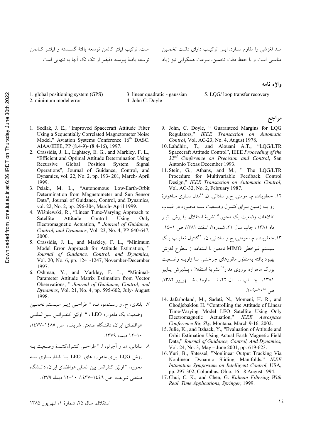## است. تركيب فيلتر كالمن توسعه يافتهٔ گســسته و فيلتــر كــالمن توسعه یافتهٔ پیوسته دقیقتر از تک تک اَنها به تنهایی است.

- 1. global positioning system (GPS)
- 2. minimum model error
- 3. linear quadratic gaussian 4. John C. Doyle

#### 5. LQG/ loop transfer recovery

- 1. Sedlak, J. E., "Improved Spacecraft Attitude Filter Using a Sequentially Correlated Magnetometer Noise Model," Aviation Systems Conference 16<sup>th</sup> DASC. AIAA/IEEE, PP (8.4-9)- (8.4-16), 1997.
- 2. Crassidis, J. L., Lightsey, E. G., and Markley, F. L., "Efficient and Optimal Attitude Determination Using Recursive Global Position System Signal Operations", Journal of Guidance, Control, and Dynamics, vol. 22, No. 2, pp. 193- 201, March- April 1999.
- 3. Psiaki, M. L., "Autonomous Low-Earth-Orbit Determination from Magnetometer and Sun Sensor Data", Journal of Guidance, Control, and Dynamics, vol. 22, No. 2, pp. 296-304, March- April 1999.
- 4. Wiśniewski, R., "Linear Time-Varying Approach to Satellite Attitude Control Using Only Electromagnetic Actuation, " *Journal of Guidance, Control, and Dynamics*, Vol. 23, No. 4, PP 640-647, 2000.
- 5. Crassidis, J. L., and Markley, F. L., "Minimum Model Error Approach for Attitude Estimation, " *Journal of Guidance, Control, and Dynamics*, Vol. 20, No. 6, pp. 1241-1247, November-December 1997.
- 6. Oshman, Y., and Markley, F. L., "Minimal-Parameter Attitude Matrix Estimation from Vector Observations, " *Journal of Guidance, Control, and Dynamics*, Vol. 21, No. 4, pp. 595-602, July- August 1998.

٧. بلندي، ح. و رستملو، ف، " طراحي زيـر سيـستم تخمـين وضعيت يك ماهواره LEO ، " اوليٌّن كنف انس بـينالمللـي هوافضای ایران، دانشگاه صنعتی شریف، ص ۱٤٨٥–۱٤٧٧. .  $174$  ،  $-11$  ،  $-11$ 

۸ ً ساداتی، ن. و أجرلو، ا. " طراحـي كنتــرلكننــدۀ وضــعيت بــه روش LQG برای ماهواره های LEO بــا پایدارســازی ســه محوره، " اوليٌن كنفرانس بين المللي هوافضاي ايران، دانـشگاه صنعتی شریف، ص ۱٤٤٦–۱٤٣٧. ١٠-١٢ ديماه ١٣٧٩.

- 9. John, C. Doyle, " Guaranteed Margins for LQG Regulators," *IEEE Transaction on Automatic Control*, Vol. AC-23, No. 4, August 1978.
- 10. Lahdhiri, T., and Alouani A.T., "LQG/LTR Spacecraft Attitude Control", IEEE *Proceeding of the 32nd Conference on Precision and Control*, San Antonio Texas December 1993.
- 11. Stein, G., Athans, and M., " The LQG/LTR Procedure for Multivariable Feedback Control Design," *IEEE Transaction on Automatic Control*, Vol. AC-32, No. 2, February 1987.


 :5 715 --" 3 "; 2.t "8 .e -8G0cB4 .+ x5)H ,
5] 5 )B5C2 -58F 7 50 A)51 50 2 5); mX> - V\*# "] P )BC2 9.T .&! O `' -8c +, + ëQ `' , P5 j5)B; -8F" 3 "; 2.t "8 .e -8G0cB4. mNs tR 1 ,c 0 A)B# MIMO "R6)H I%) )B5C2 52 1 50 "\*6Q 7:
# ?80 D0 N)5> mX5> - V\*# " - 72
0 ,
 : M
N0 `'+ 555 ,
555 ++ -555 ë555Q `' .+kn!+k` O

- 14. Jafarboland, M., Sadati, N., Momeni, H. R., and Ghodjebaklou H. "Controlling the Attitude of Linear Time-Varying Model LEO Satellite Using Only Electromagnetic Actuation," *IEEE Aerospace Conference Big Sky*, Montana, March 9-16, 2002.
- 15.Julie, K., and Itzhack, Y., "Evaluation of Attitude and Orbit Estimation Using Actual Earth Magnetic Field Data," *Journal of Guidance, Control, And Dynamics*, Vol. 24, No. 3, May – June 2001, pp. 619-623.
- 16. Yuri, B., Shtessel, "Nonlinear Output Tracking Via Nonlinear Dynamic Sliding Manifolds," *IEEE Intimation Symposium on Intelligent Control*, USA, pp. 297-302, Columbus, Ohio, 16-18 August 1994.
- 17.Chui, C. K., and Chen, G. *Kalman Filtering With Real\_Time Applications, Springer*, 1999.

## مـد لغزشي را مقاوم ســازد. ايــن تركيــب داراي دقــت تخمــين مناسبی است و با حفظ دقت تخمین، سرعت همگرایی نیز زیاد

**واژه نامه** 

مراجع